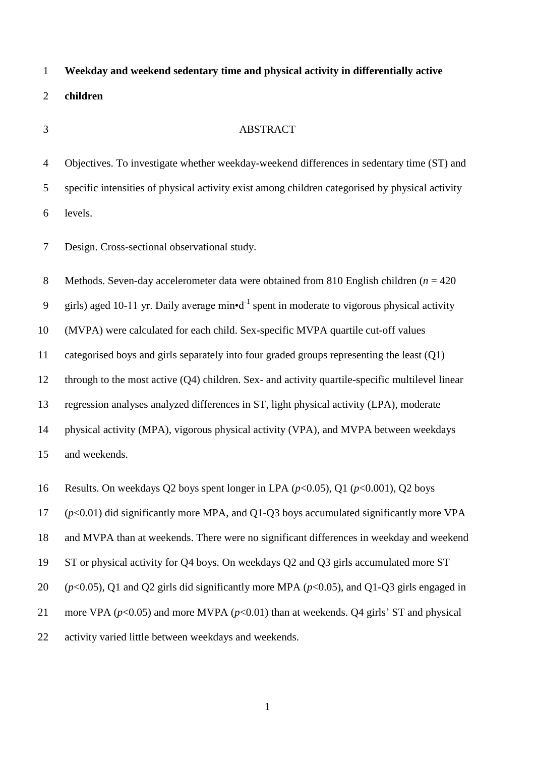**Weekday and weekend sedentary time and physical activity in differentially active children** 

## ABSTRACT

 Objectives. To investigate whether weekday-weekend differences in sedentary time (ST) and specific intensities of physical activity exist among children categorised by physical activity levels.

Design. Cross-sectional observational study.

Methods. Seven-day accelerometer data were obtained from 810 English children (*n* = 420

9 girls) aged 10-11 yr. Daily average min•d<sup>-1</sup> spent in moderate to vigorous physical activity

(MVPA) were calculated for each child. Sex-specific MVPA quartile cut-off values

categorised boys and girls separately into four graded groups representing the least (Q1)

through to the most active (Q4) children. Sex- and activity quartile-specific multilevel linear

regression analyses analyzed differences in ST, light physical activity (LPA), moderate

physical activity (MPA), vigorous physical activity (VPA), and MVPA between weekdays

and weekends.

Results. On weekdays Q2 boys spent longer in LPA (*p*<0.05), Q1 (*p*<0.001), Q2 boys

(*p*<0.01) did significantly more MPA, and Q1-Q3 boys accumulated significantly more VPA

and MVPA than at weekends. There were no significant differences in weekday and weekend

ST or physical activity for Q4 boys. On weekdays Q2 and Q3 girls accumulated more ST

(*p*<0.05), Q1 and Q2 girls did significantly more MPA (*p*<0.05), and Q1-Q3 girls engaged in

21 more VPA  $(p<0.05)$  and more MVPA  $(p<0.01)$  than at weekends. Q4 girls' ST and physical

activity varied little between weekdays and weekends.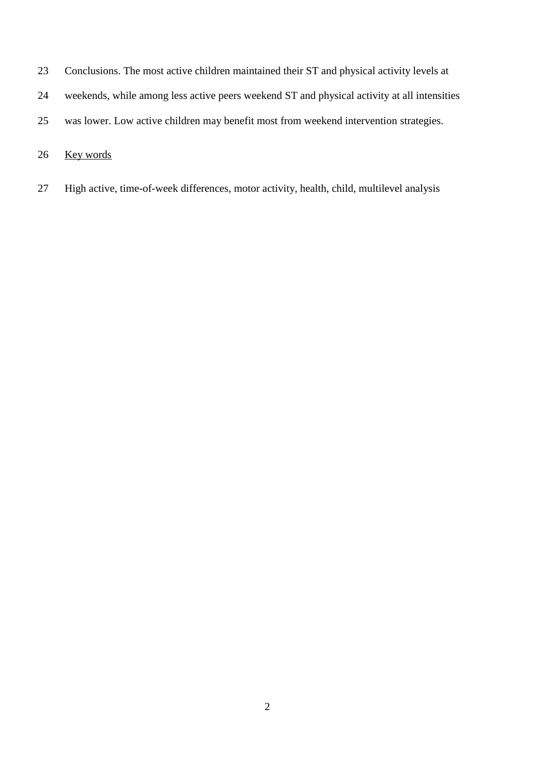- Conclusions. The most active children maintained their ST and physical activity levels at
- weekends, while among less active peers weekend ST and physical activity at all intensities
- was lower. Low active children may benefit most from weekend intervention strategies.

## Key words

High active, time-of-week differences, motor activity, health, child, multilevel analysis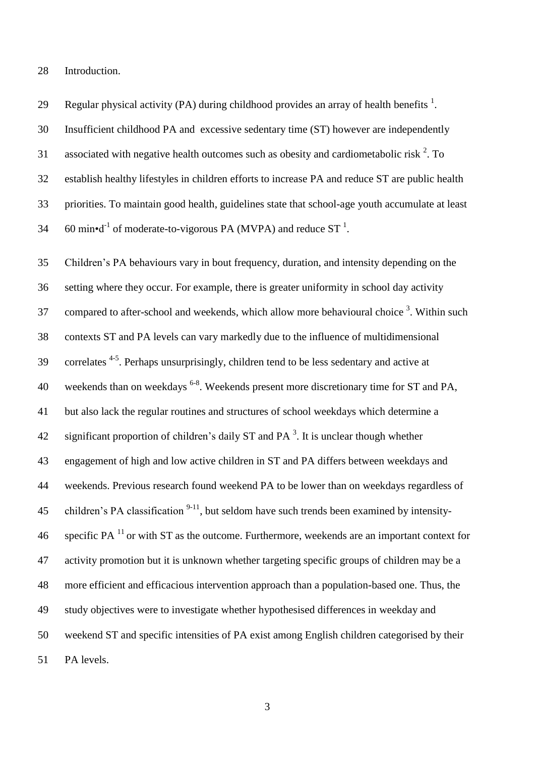Introduction.

29 Regular physical activity (PA) during childhood provides an array of health benefits  $^1$ . Insufficient childhood PA and excessive sedentary time (ST) however are independently 31 associated with negative health outcomes such as obesity and cardiometabolic risk . To establish healthy lifestyles in children efforts to increase PA and reduce ST are public health priorities. To maintain good health, guidelines state that school-age youth accumulate at least 34 . 60 min•d<sup>-1</sup> of moderate-to-vigorous PA (MVPA) and reduce ST<sup>1</sup>.

 Children's PA behaviours vary in bout frequency, duration, and intensity depending on the setting where they occur. For example, there is greater uniformity in school day activity 37 compared to after-school and weekends, which allow more behavioural choice . Within such contexts ST and PA levels can vary markedly due to the influence of multidimensional 39 correlates <sup>4-5</sup>. Perhaps unsurprisingly, children tend to be less sedentary and active at 40 weekends than on weekdays <sup>6-8</sup>. Weekends present more discretionary time for ST and PA, but also lack the regular routines and structures of school weekdays which determine a 42 significant proportion of children's daily ST and PA<sup>3</sup>. It is unclear though whether engagement of high and low active children in ST and PA differs between weekdays and weekends. Previous research found weekend PA to be lower than on weekdays regardless of 45 children's PA classification  $9-11$ , but seldom have such trends been examined by intensity-46 specific PA $<sup>11</sup>$  or with ST as the outcome. Furthermore, weekends are an important context for</sup> activity promotion but it is unknown whether targeting specific groups of children may be a more efficient and efficacious intervention approach than a population-based one. Thus, the study objectives were to investigate whether hypothesised differences in weekday and weekend ST and specific intensities of PA exist among English children categorised by their PA levels.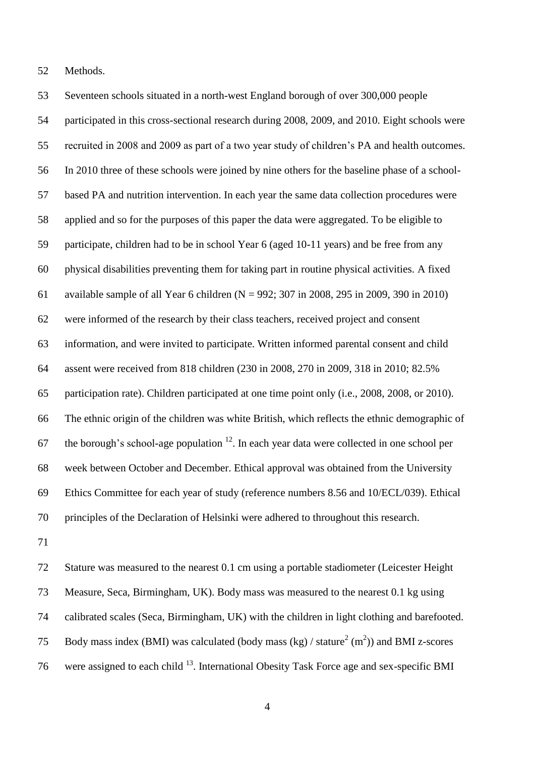Methods.

 Seventeen schools situated in a north-west England borough of over 300,000 people participated in this cross-sectional research during 2008, 2009, and 2010. Eight schools were recruited in 2008 and 2009 as part of a two year study of children's PA and health outcomes. In 2010 three of these schools were joined by nine others for the baseline phase of a school- based PA and nutrition intervention. In each year the same data collection procedures were applied and so for the purposes of this paper the data were aggregated. To be eligible to participate, children had to be in school Year 6 (aged 10-11 years) and be free from any physical disabilities preventing them for taking part in routine physical activities. A fixed available sample of all Year 6 children (N = 992; 307 in 2008, 295 in 2009, 390 in 2010) were informed of the research by their class teachers, received project and consent information, and were invited to participate. Written informed parental consent and child assent were received from 818 children (230 in 2008, 270 in 2009, 318 in 2010; 82.5% participation rate). Children participated at one time point only (i.e., 2008, 2008, or 2010). The ethnic origin of the children was white British, which reflects the ethnic demographic of 67 the borough's school-age population . In each year data were collected in one school per week between October and December. Ethical approval was obtained from the University Ethics Committee for each year of study (reference numbers 8.56 and 10/ECL/039). Ethical principles of the Declaration of Helsinki were adhered to throughout this research.

 Stature was measured to the nearest 0.1 cm using a portable stadiometer (Leicester Height Measure, Seca, Birmingham, UK). Body mass was measured to the nearest 0.1 kg using calibrated scales (Seca, Birmingham, UK) with the children in light clothing and barefooted. 75 Body mass index (BMI) was calculated (body mass  $(kg) / \text{stature}^2 \text{ (m}^2)$ ) and BMI z-scores 76 were assigned to each child  $^{13}$ . International Obesity Task Force age and sex-specific BMI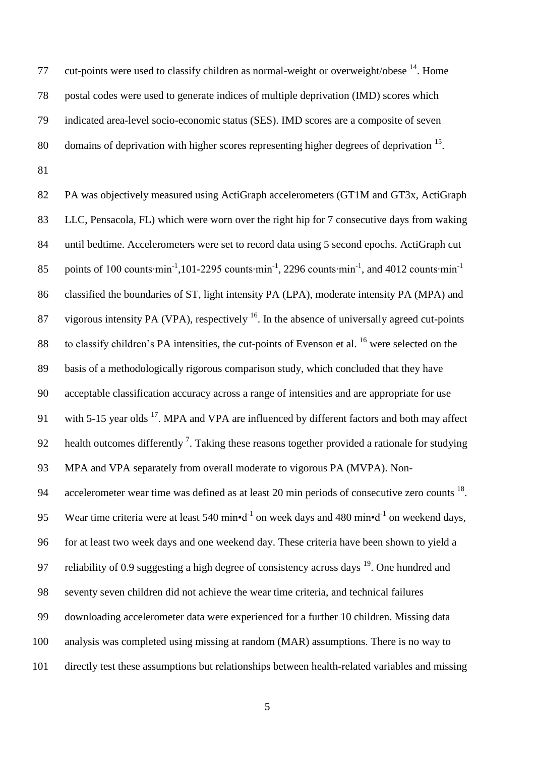77 cut-points were used to classify children as normal-weight or overweight/obese . Home postal codes were used to generate indices of multiple deprivation (IMD) scores which indicated area-level socio-economic status (SES). IMD scores are a composite of seven 80 domains of deprivation with higher scores representing higher degrees of deprivation .

82 PA was objectively measured using ActiGraph accelerometers (GT1M and GT3x, ActiGraph LLC, Pensacola, FL) which were worn over the right hip for 7 consecutive days from waking until bedtime. Accelerometers were set to record data using 5 second epochs. ActiGraph cut points of 100 counts∙min<sup>-1</sup>,101-2295 counts∙min<sup>-1</sup>, 2296 counts∙min<sup>-1</sup>, and 4012 counts∙min<sup>-1</sup> classified the boundaries of ST, light intensity PA (LPA), moderate intensity PA (MPA) and 87 vigorous intensity PA (VPA), respectively . In the absence of universally agreed cut-points 88 to classify children's PA intensities, the cut-points of Evenson et al. were selected on the basis of a methodologically rigorous comparison study, which concluded that they have acceptable classification accuracy across a range of intensities and are appropriate for use 91 with 5-15 year olds  $^{17}$ . MPA and VPA are influenced by different factors and both may affect 92 health outcomes differently  $\frac{7}{1}$ . Taking these reasons together provided a rationale for studying MPA and VPA separately from overall moderate to vigorous PA (MVPA). Non-94 accelerometer wear time was defined as at least 20 min periods of consecutive zero counts  $^{18}$ . 95 Wear time criteria were at least 540 min•d<sup>-1</sup> on week days and 480 min•d<sup>-1</sup> on weekend days, for at least two week days and one weekend day. These criteria have been shown to yield a 97 reliability of 0.9 suggesting a high degree of consistency across days . One hundred and seventy seven children did not achieve the wear time criteria, and technical failures downloading accelerometer data were experienced for a further 10 children. Missing data analysis was completed using missing at random (MAR) assumptions. There is no way to directly test these assumptions but relationships between health-related variables and missing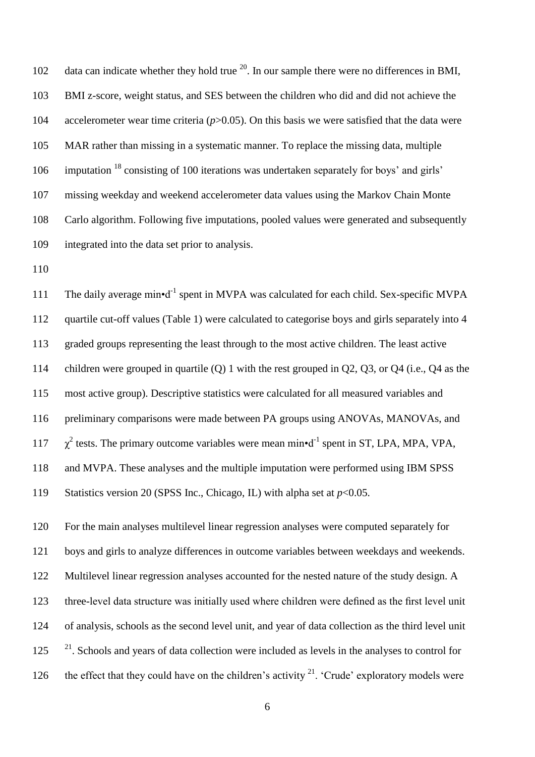102 data can indicate whether they hold true  $^{20}$ . In our sample there were no differences in BMI, BMI z-score, weight status, and SES between the children who did and did not achieve the accelerometer wear time criteria (*p*>0.05). On this basis we were satisfied that the data were MAR rather than missing in a systematic manner. To replace the missing data, multiple 106 imputation <sup>18</sup> consisting of 100 iterations was undertaken separately for boys' and girls' missing weekday and weekend accelerometer data values using the Markov Chain Monte Carlo algorithm. Following five imputations, pooled values were generated and subsequently integrated into the data set prior to analysis.

111 The daily average min•d<sup>-1</sup> spent in MVPA was calculated for each child. Sex-specific MVPA quartile cut-off values (Table 1) were calculated to categorise boys and girls separately into 4 graded groups representing the least through to the most active children. The least active children were grouped in quartile (Q) 1 with the rest grouped in Q2, Q3, or Q4 (i.e., Q4 as the most active group). Descriptive statistics were calculated for all measured variables and preliminary comparisons were made between PA groups using ANOVAs, MANOVAs, and  $\chi^2$  tests. The primary outcome variables were mean min•d<sup>-1</sup> spent in ST, LPA, MPA, VPA, and MVPA. These analyses and the multiple imputation were performed using IBM SPSS Statistics version 20 (SPSS Inc., Chicago, IL) with alpha set at *p*<0.05.

 For the main analyses multilevel linear regression analyses were computed separately for boys and girls to analyze differences in outcome variables between weekdays and weekends. Multilevel linear regression analyses accounted for the nested nature of the study design. A three-level data structure was initially used where children were defined as the first level unit of analysis, schools as the second level unit, and year of data collection as the third level unit  $^{21}$ . Schools and years of data collection were included as levels in the analyses to control for 126 the effect that they could have on the children's activity  $2^1$ . 'Crude' exploratory models were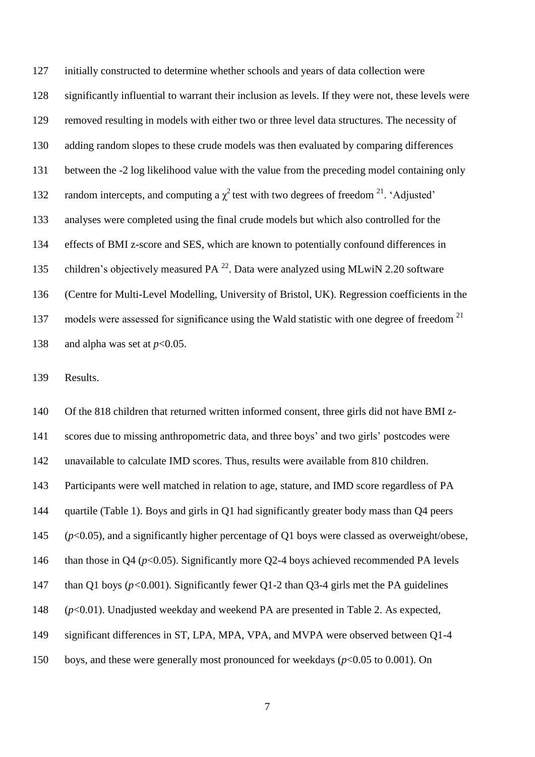initially constructed to determine whether schools and years of data collection were significantly influential to warrant their inclusion as levels. If they were not, these levels were removed resulting in models with either two or three level data structures. The necessity of adding random slopes to these crude models was then evaluated by comparing differences between the -2 log likelihood value with the value from the preceding model containing only 132 random intercepts, and computing a  $\chi^2$  test with two degrees of freedom <sup>21</sup>. 'Adjusted' analyses were completed using the final crude models but which also controlled for the effects of BMI z-score and SES, which are known to potentially confound differences in 135 children's objectively measured PA  $^{22}$ . Data were analyzed using MLwiN 2.20 software (Centre for Multi-Level Modelling, University of Bristol, UK). Regression coefficients in the 137 models were assessed for significance using the Wald statistic with one degree of freedom<sup>21</sup> 138 and alpha was set at  $p<0.05$ .

Results.

 Of the 818 children that returned written informed consent, three girls did not have BMI z- scores due to missing anthropometric data, and three boys' and two girls' postcodes were unavailable to calculate IMD scores. Thus, results were available from 810 children. Participants were well matched in relation to age, stature, and IMD score regardless of PA quartile (Table 1). Boys and girls in Q1 had significantly greater body mass than Q4 peers (*p*<0.05), and a significantly higher percentage of Q1 boys were classed as overweight/obese, 146 than those in Q4 ( $p$ <0.05). Significantly more Q2-4 boys achieved recommended PA levels 147 than Q1 boys ( $p < 0.001$ ). Significantly fewer Q1-2 than Q3-4 girls met the PA guidelines (*p*<0.01). Unadjusted weekday and weekend PA are presented in Table 2. As expected, significant differences in ST, LPA, MPA, VPA, and MVPA were observed between Q1-4 boys, and these were generally most pronounced for weekdays (*p*<0.05 to 0.001). On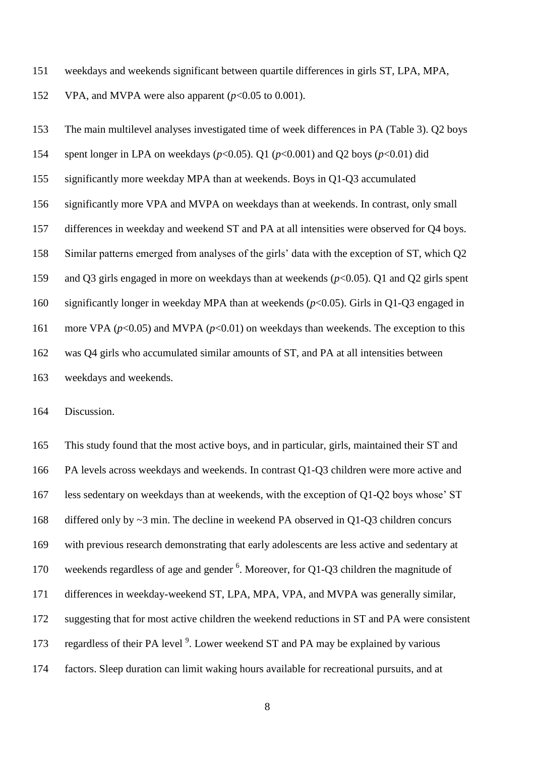weekdays and weekends significant between quartile differences in girls ST, LPA, MPA,

VPA, and MVPA were also apparent (*p*<0.05 to 0.001).

 The main multilevel analyses investigated time of week differences in PA (Table 3). Q2 boys spent longer in LPA on weekdays (*p*<0.05). Q1 (*p*<0.001) and Q2 boys (*p*<0.01) did significantly more weekday MPA than at weekends. Boys in Q1-Q3 accumulated significantly more VPA and MVPA on weekdays than at weekends. In contrast, only small differences in weekday and weekend ST and PA at all intensities were observed for Q4 boys. Similar patterns emerged from analyses of the girls' data with the exception of ST, which Q2 and Q3 girls engaged in more on weekdays than at weekends (*p*<0.05). Q1 and Q2 girls spent significantly longer in weekday MPA than at weekends (*p*<0.05). Girls in Q1-Q3 engaged in 161 more VPA ( $p$ <0.05) and MVPA ( $p$ <0.01) on weekdays than weekends. The exception to this was Q4 girls who accumulated similar amounts of ST, and PA at all intensities between weekdays and weekends.

Discussion.

 This study found that the most active boys, and in particular, girls, maintained their ST and PA levels across weekdays and weekends. In contrast Q1-Q3 children were more active and less sedentary on weekdays than at weekends, with the exception of Q1-Q2 boys whose' ST differed only by ~3 min. The decline in weekend PA observed in Q1-Q3 children concurs with previous research demonstrating that early adolescents are less active and sedentary at 170 weekends regardless of age and gender . Moreover, for Q1-Q3 children the magnitude of differences in weekday-weekend ST, LPA, MPA, VPA, and MVPA was generally similar, suggesting that for most active children the weekend reductions in ST and PA were consistent 173 regardless of their PA level<sup>9</sup>. Lower weekend ST and PA may be explained by various factors. Sleep duration can limit waking hours available for recreational pursuits, and at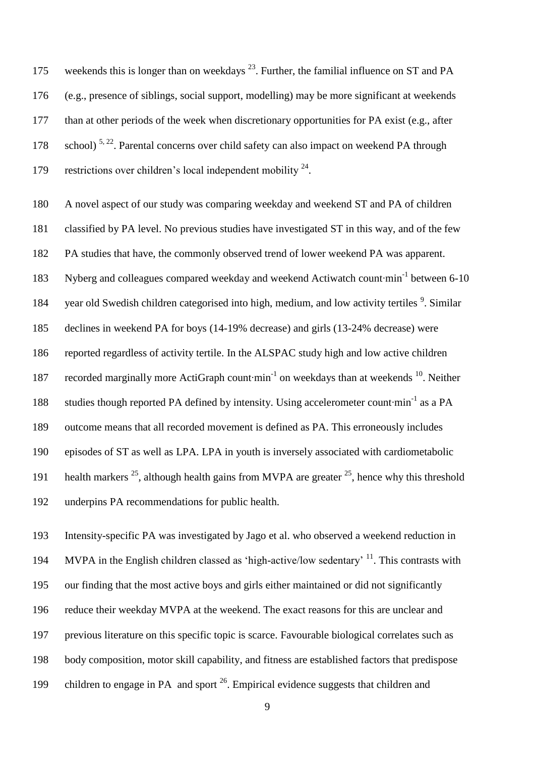175 weekends this is longer than on weekdays  $^{23}$ . Further, the familial influence on ST and PA (e.g., presence of siblings, social support, modelling) may be more significant at weekends than at other periods of the week when discretionary opportunities for PA exist (e.g., after 178 school)<sup>5, 22</sup>. Parental concerns over child safety can also impact on weekend PA through 179 restrictions over children's local independent mobility .

 A novel aspect of our study was comparing weekday and weekend ST and PA of children classified by PA level. No previous studies have investigated ST in this way, and of the few PA studies that have, the commonly observed trend of lower weekend PA was apparent. Nyberg and colleagues compared weekday and weekend Actiwatch count∙min-1 between 6-10 184 year old Swedish children categorised into high, medium, and low activity tertiles <sup>9</sup>. Similar declines in weekend PA for boys (14-19% decrease) and girls (13-24% decrease) were reported regardless of activity tertile. In the ALSPAC study high and low active children 187 recorded marginally more ActiGraph count∙min<sup>-1</sup> on weekdays than at weekends <sup>10</sup>. Neither 188 studies though reported PA defined by intensity. Using accelerometer count∙min<sup>-1</sup> as a PA outcome means that all recorded movement is defined as PA. This erroneously includes episodes of ST as well as LPA. LPA in youth is inversely associated with cardiometabolic 191 health markers  $^{25}$ , although health gains from MVPA are greater  $^{25}$ , hence why this threshold underpins PA recommendations for public health.

 Intensity-specific PA was investigated by Jago et al. who observed a weekend reduction in 194 MVPA in the English children classed as 'high-active/low sedentary'  $^{11}$ . This contrasts with our finding that the most active boys and girls either maintained or did not significantly reduce their weekday MVPA at the weekend. The exact reasons for this are unclear and previous literature on this specific topic is scarce. Favourable biological correlates such as body composition, motor skill capability, and fitness are established factors that predispose 199 children to engage in PA and sport . Empirical evidence suggests that children and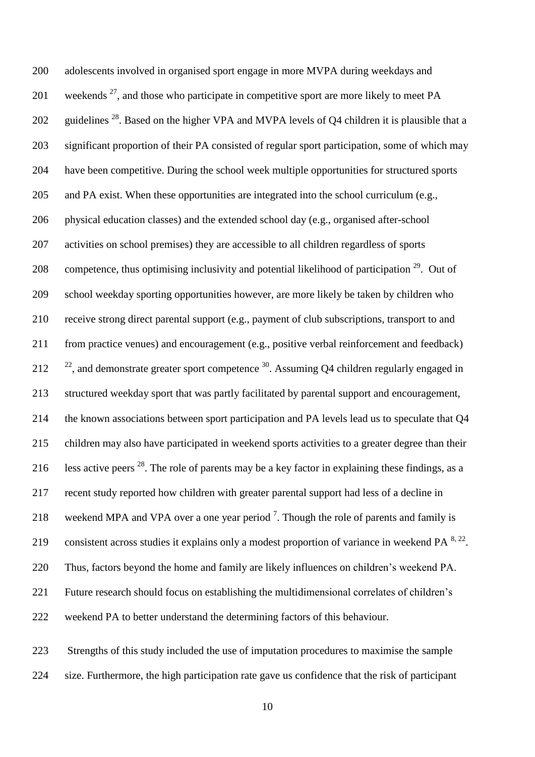adolescents involved in organised sport engage in more MVPA during weekdays and 201 weekends , and those who participate in competitive sport are more likely to meet PA 202 guidelines  $^{28}$ . Based on the higher VPA and MVPA levels of Q4 children it is plausible that a significant proportion of their PA consisted of regular sport participation, some of which may have been competitive. During the school week multiple opportunities for structured sports and PA exist. When these opportunities are integrated into the school curriculum (e.g., physical education classes) and the extended school day (e.g., organised after-school activities on school premises) they are accessible to all children regardless of sports 208 competence, thus optimising inclusivity and potential likelihood of participation  $2^9$ . Out of school weekday sporting opportunities however, are more likely be taken by children who receive strong direct parental support (e.g., payment of club subscriptions, transport to and from practice venues) and encouragement (e.g., positive verbal reinforcement and feedback)  $\frac{22}{12}$ , and demonstrate greater sport competence <sup>30</sup>. Assuming Q4 children regularly engaged in structured weekday sport that was partly facilitated by parental support and encouragement, the known associations between sport participation and PA levels lead us to speculate that Q4 children may also have participated in weekend sports activities to a greater degree than their 216 less active peers  $^{28}$ . The role of parents may be a key factor in explaining these findings, as a recent study reported how children with greater parental support had less of a decline in 218 weekend MPA and VPA over a one year period<sup>7</sup>. Though the role of parents and family is consistent across studies it explains only a modest proportion of variance in weekend  $PA^{8, 22}$ . Thus, factors beyond the home and family are likely influences on children's weekend PA. Future research should focus on establishing the multidimensional correlates of children's weekend PA to better understand the determining factors of this behaviour.

 Strengths of this study included the use of imputation procedures to maximise the sample size. Furthermore, the high participation rate gave us confidence that the risk of participant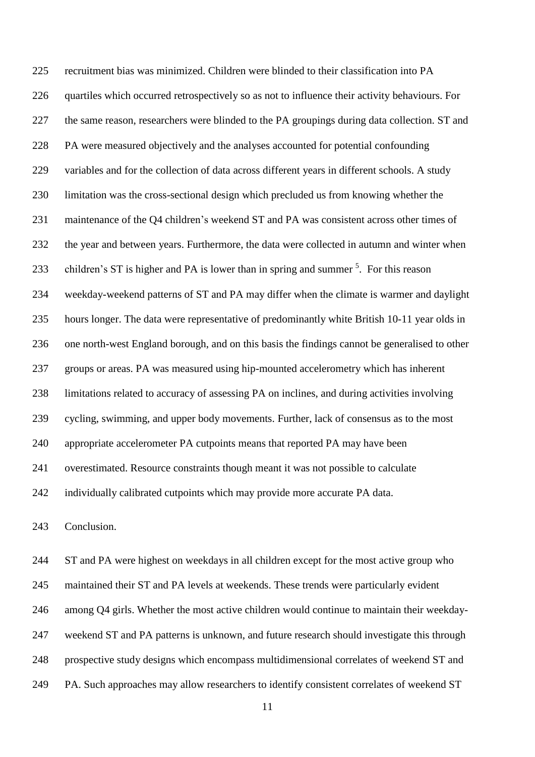recruitment bias was minimized. Children were blinded to their classification into PA 226 quartiles which occurred retrospectively so as not to influence their activity behaviours. For the same reason, researchers were blinded to the PA groupings during data collection. ST and PA were measured objectively and the analyses accounted for potential confounding variables and for the collection of data across different years in different schools. A study limitation was the cross-sectional design which precluded us from knowing whether the maintenance of the Q4 children's weekend ST and PA was consistent across other times of the year and between years. Furthermore, the data were collected in autumn and winter when 233 children's ST is higher and PA is lower than in spring and summer  $<sup>5</sup>$ . For this reason</sup> weekday-weekend patterns of ST and PA may differ when the climate is warmer and daylight hours longer. The data were representative of predominantly white British 10-11 year olds in one north-west England borough, and on this basis the findings cannot be generalised to other groups or areas. PA was measured using hip-mounted accelerometry which has inherent limitations related to accuracy of assessing PA on inclines, and during activities involving cycling, swimming, and upper body movements. Further, lack of consensus as to the most appropriate accelerometer PA cutpoints means that reported PA may have been overestimated. Resource constraints though meant it was not possible to calculate individually calibrated cutpoints which may provide more accurate PA data.

Conclusion.

 ST and PA were highest on weekdays in all children except for the most active group who maintained their ST and PA levels at weekends. These trends were particularly evident among Q4 girls. Whether the most active children would continue to maintain their weekday- weekend ST and PA patterns is unknown, and future research should investigate this through prospective study designs which encompass multidimensional correlates of weekend ST and PA. Such approaches may allow researchers to identify consistent correlates of weekend ST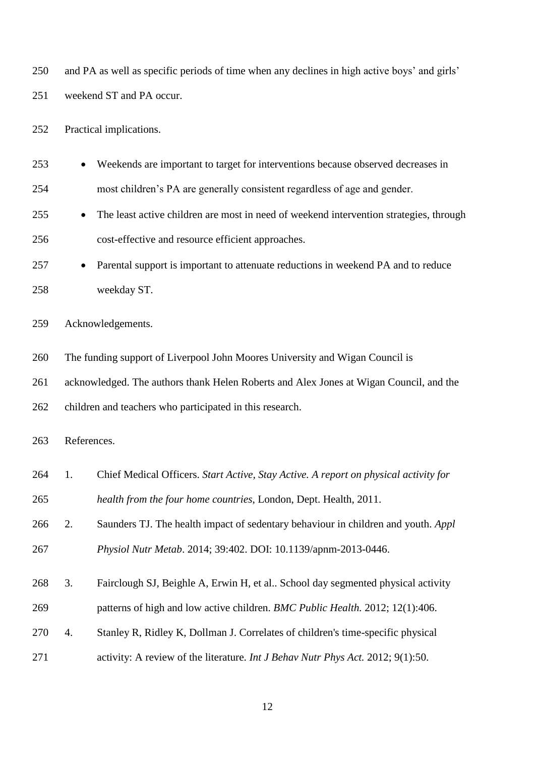and PA as well as specific periods of time when any declines in high active boys' and girls' weekend ST and PA occur. Practical implications.

 Weekends are important to target for interventions because observed decreases in most children's PA are generally consistent regardless of age and gender.

- 255 The least active children are most in need of weekend intervention strategies, through cost-effective and resource efficient approaches.
- 257 Parental support is important to attenuate reductions in weekend PA and to reduce weekday ST.

Acknowledgements.

The funding support of Liverpool John Moores University and Wigan Council is

acknowledged. The authors thank Helen Roberts and Alex Jones at Wigan Council, and the

children and teachers who participated in this research.

References.

- 1. Chief Medical Officers. *Start Active, Stay Active. A report on physical activity for health from the four home countries*, London, Dept. Health, 2011.
- 2. Saunders TJ. The health impact of sedentary behaviour in children and youth. *Appl Physiol Nutr Metab*. 2014; 39:402. DOI: 10.1139/apnm-2013-0446.
- 3. Fairclough SJ, Beighle A, Erwin H, et al.. School day segmented physical activity
- patterns of high and low active children. *BMC Public Health.* 2012; 12(1):406.
- 4. Stanley R, Ridley K, Dollman J. Correlates of children's time-specific physical
- activity: A review of the literature. *Int J Behav Nutr Phys Act.* 2012; 9(1):50.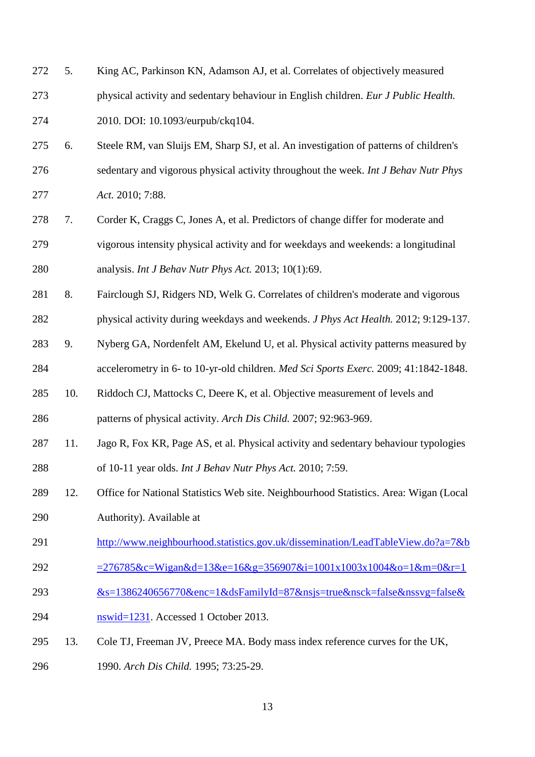- 5. King AC, Parkinson KN, Adamson AJ, et al. Correlates of objectively measured
- physical activity and sedentary behaviour in English children. *Eur J Public Health.* 2010. DOI: 10.1093/eurpub/ckq104.
- 6. Steele RM, van Sluijs EM, Sharp SJ, et al. An investigation of patterns of children's sedentary and vigorous physical activity throughout the week. *Int J Behav Nutr Phys Act.* 2010; 7:88.
- 7. Corder K, Craggs C, Jones A, et al. Predictors of change differ for moderate and vigorous intensity physical activity and for weekdays and weekends: a longitudinal analysis. *Int J Behav Nutr Phys Act.* 2013; 10(1):69.
- 8. Fairclough SJ, Ridgers ND, Welk G. Correlates of children's moderate and vigorous
- physical activity during weekdays and weekends. *J Phys Act Health.* 2012; 9:129-137.
- 9. Nyberg GA, Nordenfelt AM, Ekelund U, et al. Physical activity patterns measured by accelerometry in 6- to 10-yr-old children. *Med Sci Sports Exerc.* 2009; 41:1842-1848.
- 10. Riddoch CJ, Mattocks C, Deere K, et al. Objective measurement of levels and patterns of physical activity. *Arch Dis Child.* 2007; 92:963-969.
- 11. Jago R, Fox KR, Page AS, et al. Physical activity and sedentary behaviour typologies of 10-11 year olds. *Int J Behav Nutr Phys Act.* 2010; 7:59.
- 12. Office for National Statistics Web site. Neighbourhood Statistics. Area: Wigan (Local Authority). Available at
- [http://www.neighbourhood.statistics.gov.uk/dissemination/LeadTableView.do?a=7&b](http://www.neighbourhood.statistics.gov.uk/dissemination/LeadTableView.do?a=7&b=276785&c=Wigan&d=13&e=16&g=356907&i=1001x1003x1004&o=1&m=0&r=1&s=1386240656770&enc=1&dsFamilyId=87&nsjs=true&nsck=false&nssvg=false&nswid=1231)
- [=276785&c=Wigan&d=13&e=16&g=356907&i=1001x1003x1004&o=1&m=0&r=1](http://www.neighbourhood.statistics.gov.uk/dissemination/LeadTableView.do?a=7&b=276785&c=Wigan&d=13&e=16&g=356907&i=1001x1003x1004&o=1&m=0&r=1&s=1386240656770&enc=1&dsFamilyId=87&nsjs=true&nsck=false&nssvg=false&nswid=1231)
- [&s=1386240656770&enc=1&dsFamilyId=87&nsjs=true&nsck=false&nssvg=false&](http://www.neighbourhood.statistics.gov.uk/dissemination/LeadTableView.do?a=7&b=276785&c=Wigan&d=13&e=16&g=356907&i=1001x1003x1004&o=1&m=0&r=1&s=1386240656770&enc=1&dsFamilyId=87&nsjs=true&nsck=false&nssvg=false&nswid=1231)
- [nswid=1231.](http://www.neighbourhood.statistics.gov.uk/dissemination/LeadTableView.do?a=7&b=276785&c=Wigan&d=13&e=16&g=356907&i=1001x1003x1004&o=1&m=0&r=1&s=1386240656770&enc=1&dsFamilyId=87&nsjs=true&nsck=false&nssvg=false&nswid=1231) Accessed 1 October 2013.
- 13. Cole TJ, Freeman JV, Preece MA. Body mass index reference curves for the UK, 1990. *Arch Dis Child.* 1995; 73:25-29.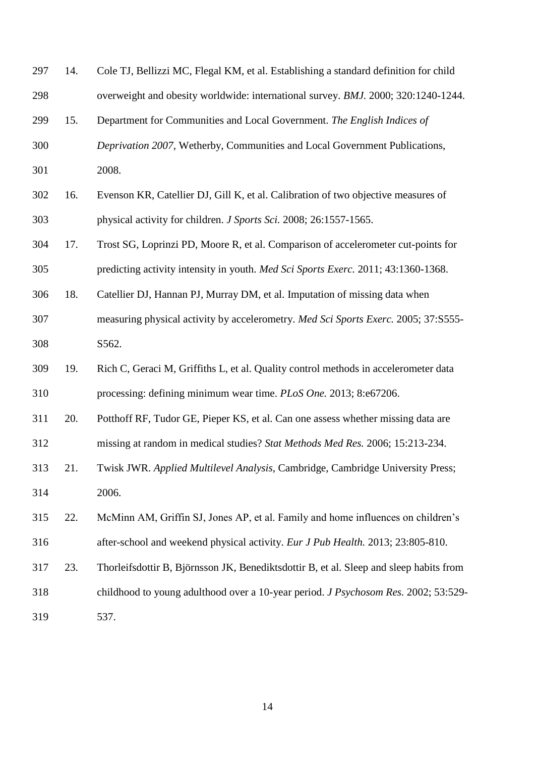| 297 | 14. | Cole TJ, Bellizzi MC, Flegal KM, et al. Establishing a standard definition for child      |
|-----|-----|-------------------------------------------------------------------------------------------|
| 298 |     | overweight and obesity worldwide: international survey. BMJ. 2000; 320:1240-1244.         |
| 299 | 15. | Department for Communities and Local Government. The English Indices of                   |
| 300 |     | Deprivation 2007, Wetherby, Communities and Local Government Publications,                |
| 301 |     | 2008.                                                                                     |
| 302 | 16. | Evenson KR, Catellier DJ, Gill K, et al. Calibration of two objective measures of         |
| 303 |     | physical activity for children. J Sports Sci. 2008; 26:1557-1565.                         |
| 304 | 17. | Trost SG, Loprinzi PD, Moore R, et al. Comparison of accelerometer cut-points for         |
| 305 |     | predicting activity intensity in youth. Med Sci Sports Exerc. 2011; 43:1360-1368.         |
| 306 | 18. | Catellier DJ, Hannan PJ, Murray DM, et al. Imputation of missing data when                |
| 307 |     | measuring physical activity by accelerometry. Med Sci Sports Exerc. 2005; 37:S555-        |
| 308 |     | S562.                                                                                     |
| 309 | 19. | Rich C, Geraci M, Griffiths L, et al. Quality control methods in accelerometer data       |
| 310 |     | processing: defining minimum wear time. PLoS One. 2013; 8:e67206.                         |
| 311 | 20. | Potthoff RF, Tudor GE, Pieper KS, et al. Can one assess whether missing data are          |
| 312 |     | missing at random in medical studies? Stat Methods Med Res. 2006; 15:213-234.             |
| 313 | 21. | Twisk JWR. Applied Multilevel Analysis, Cambridge, Cambridge University Press;            |
| 314 |     | 2006.                                                                                     |
| 315 | 22. | McMinn AM, Griffin SJ, Jones AP, et al. Family and home influences on children's          |
| 316 |     | after-school and weekend physical activity. Eur J Pub Health. 2013; 23:805-810.           |
| 317 | 23. | Thorleifsdottir B, Björnsson JK, Benediktsdottir B, et al. Sleep and sleep habits from    |
| 318 |     | childhood to young adulthood over a 10-year period. <i>J Psychosom Res.</i> 2002; 53:529- |
| 319 |     | 537.                                                                                      |